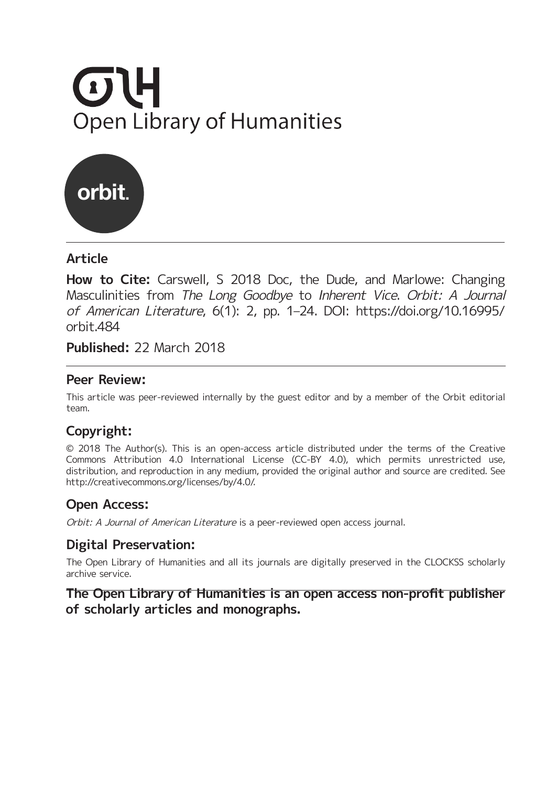# **OTH Open Library of Humanities**



# **Article**

**How to Cite:** Carswell, S 2018 Doc, the Dude, and Marlowe: Changing Masculinities from The Long Goodbye to Inherent Vice. Orbit: A Journal of American Literature, 6(1): 2, pp. 1–24. DOI: [https://doi.org/10.16995/](https://doi.org/10.16995/orbit.484) [orbit.484](https://doi.org/10.16995/orbit.484)

**Published:** 22 March 2018

### **Peer Review:**

This article was peer-reviewed internally by the guest editor and by a member of the Orbit editorial team.

# **Copyright:**

© 2018 The Author(s). This is an open-access article distributed under the terms of the Creative Commons Attribution 4.0 International License (CC-BY 4.0), which permits unrestricted use, distribution, and reproduction in any medium, provided the original author and source are credited. See <http://creativecommons.org/licenses/by/4.0/>.

# **Open Access:**

Orbit: A Journal of American Literature is a peer-reviewed open access journal.

# **Digital Preservation:**

The Open Library of Humanities and all its journals are digitally preserved in the CLOCKSS scholarly archive service.

# **The Open Library of Humanities is an open access non-profit publisher of scholarly articles and monographs.**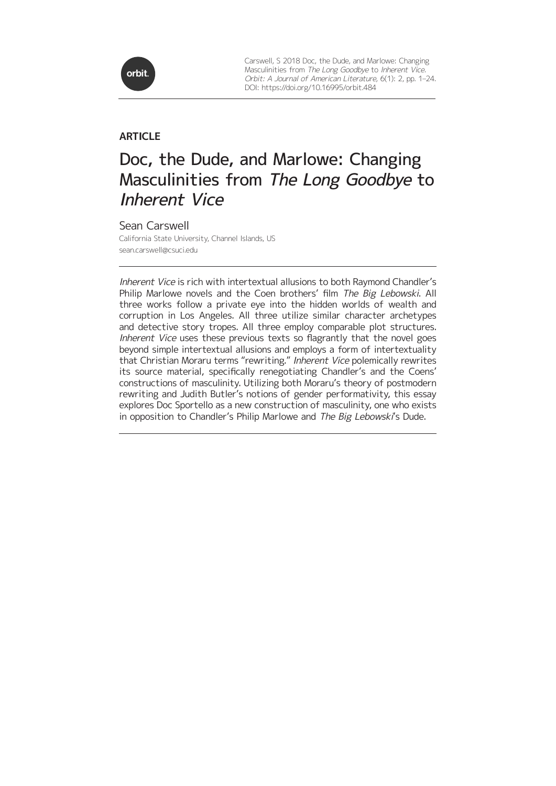

Carswell, S 2018 Doc, the Dude, and Marlowe: Changing Masculinities from The Long Goodbye to Inherent Vice. Orbit: A Journal of American Literature, 6(1): 2, pp. 1–24. DOI:<https://doi.org/10.16995/orbit.484>

### **ARTICLE**

# Doc, the Dude, and Marlowe: Changing Masculinities from The Long Goodbye to Inherent Vice

Sean Carswell California State University, Channel Islands, US [sean.carswell@csuci.edu](mailto:sean.carswell@csuci.edu)

Inherent Vice is rich with intertextual allusions to both Raymond Chandler's Philip Marlowe novels and the Coen brothers' film The Big Lebowski. All three works follow a private eye into the hidden worlds of wealth and corruption in Los Angeles. All three utilize similar character archetypes and detective story tropes. All three employ comparable plot structures. Inherent Vice uses these previous texts so flagrantly that the novel goes beyond simple intertextual allusions and employs a form of intertextuality that Christian Moraru terms "rewriting." Inherent Vice polemically rewrites its source material, specifically renegotiating Chandler's and the Coens' constructions of masculinity. Utilizing both Moraru's theory of postmodern rewriting and Judith Butler's notions of gender performativity, this essay explores Doc Sportello as a new construction of masculinity, one who exists in opposition to Chandler's Philip Marlowe and The Big Lebowski's Dude.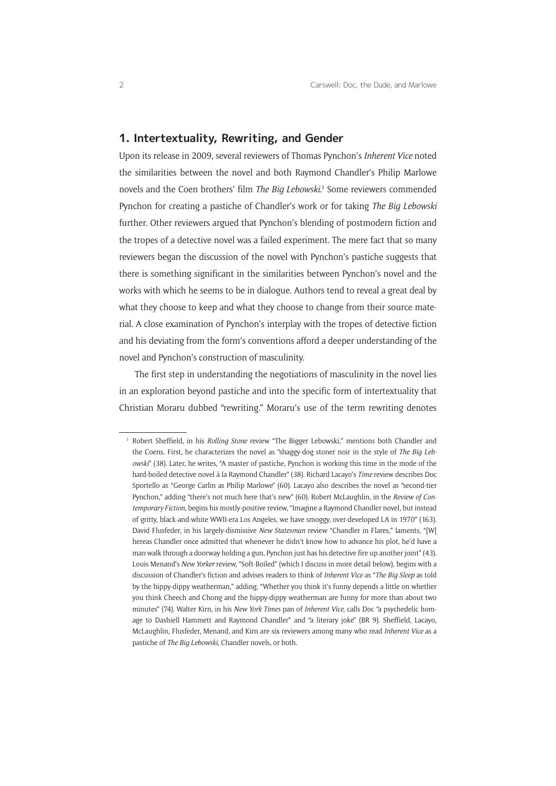### **1. Intertextuality, Rewriting, and Gender**

Upon its release in 2009, several reviewers of Thomas Pynchon's *Inherent Vice* noted the similarities between the novel and both Raymond Chandler's Philip Marlowe novels and the Coen brothers' film *The Big Lebowski*. 1 Some reviewers commended Pynchon for creating a pastiche of Chandler's work or for taking *The Big Lebowski* further. Other reviewers argued that Pynchon's blending of postmodern fiction and the tropes of a detective novel was a failed experiment. The mere fact that so many reviewers began the discussion of the novel with Pynchon's pastiche suggests that there is something significant in the similarities between Pynchon's novel and the works with which he seems to be in dialogue. Authors tend to reveal a great deal by what they choose to keep and what they choose to change from their source material. A close examination of Pynchon's interplay with the tropes of detective fiction and his deviating from the form's conventions afford a deeper understanding of the novel and Pynchon's construction of masculinity.

The first step in understanding the negotiations of masculinity in the novel lies in an exploration beyond pastiche and into the specific form of intertextuality that Christian Moraru dubbed "rewriting." Moraru's use of the term rewriting denotes

<sup>1</sup> Robert Sheffield, in his *Rolling Stone* review "The Bigger Lebowski," mentions both Chandler and the Coens. First, he characterizes the novel as "shaggy-dog stoner noir in the style of *The Big Lebowski*" (38). Later, he writes, "A master of pastiche, Pynchon is working this time in the mode of the hard-boiled detective novel à la Raymond Chandler" (38). Richard Lacayo's *Time* review describes Doc Sportello as "George Carlin as Philip Marlowe" (60). Lacayo also describes the novel as "second-tier Pynchon," adding "there's not much here that's new" (60). Robert McLaughlin, in the *Review of Contemporary Fiction*, begins his mostly-positive review, "Imagine a Raymond Chandler novel, but instead of gritty, black-and-white WWII-era Los Angeles, we have smoggy, over-developed LA in 1970" (163). David Flusfeder, in his largely-dismissive *New Statesman* review "Chandler in Flares," laments, "[W] hereas Chandler once admitted that whenever he didn't know how to advance his plot, he'd have a man walk through a doorway holding a gun, Pynchon just has his detective fire up another joint" (43). Louis Menand's *New Yorker* review, "Soft-Boiled" (which I discuss in more detail below), begins with a discussion of Chandler's fiction and advises readers to think of *Inherent Vice* as "*The Big Sleep* as told by the hippy-dippy weatherman," adding, "Whether you think it's funny depends a little on whether you think Cheech and Chong and the hippy-dippy weatherman are funny for more than about two minutes" (74). Walter Kirn, in his *New York Times* pan of *Inherent Vice*, calls Doc "a psychedelic homage to Dashiell Hammett and Raymond Chandler" and "a literary joke" (BR 9). Sheffield, Lacayo, McLaughlin, Flusfeder, Menand, and Kirn are six reviewers among many who read *Inherent Vice* as a pastiche of *The Big Lebowski*, Chandler novels, or both.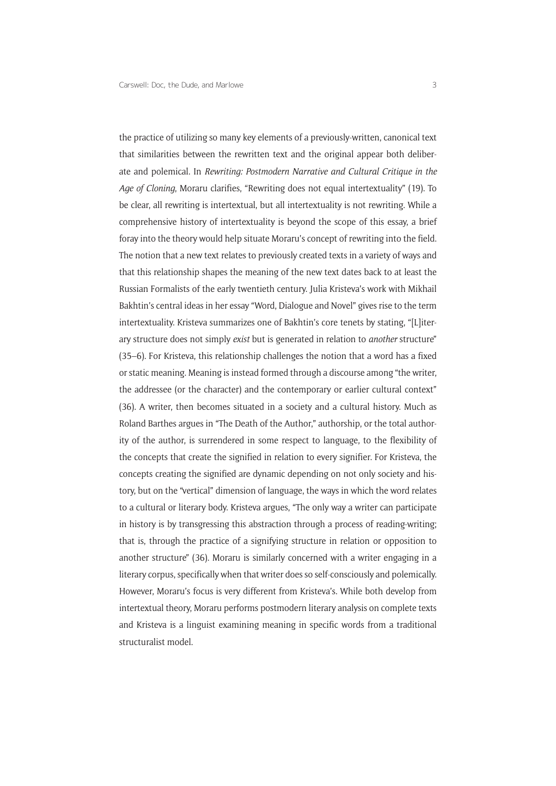the practice of utilizing so many key elements of a previously-written, canonical text that similarities between the rewritten text and the original appear both deliberate and polemical. In *Rewriting: Postmodern Narrative and Cultural Critique in the Age of Cloning*, Moraru clarifies, "Rewriting does not equal intertextuality" (19). To be clear, all rewriting is intertextual, but all intertextuality is not rewriting. While a comprehensive history of intertextuality is beyond the scope of this essay, a brief foray into the theory would help situate Moraru's concept of rewriting into the field. The notion that a new text relates to previously created texts in a variety of ways and that this relationship shapes the meaning of the new text dates back to at least the Russian Formalists of the early twentieth century. Julia Kristeva's work with Mikhail Bakhtin's central ideas in her essay "Word, Dialogue and Novel" gives rise to the term intertextuality. Kristeva summarizes one of Bakhtin's core tenets by stating, "[L]iterary structure does not simply *exist* but is generated in relation to *another* structure" (35–6). For Kristeva, this relationship challenges the notion that a word has a fixed or static meaning. Meaning is instead formed through a discourse among "the writer, the addressee (or the character) and the contemporary or earlier cultural context" (36). A writer, then becomes situated in a society and a cultural history. Much as Roland Barthes argues in "The Death of the Author," authorship, or the total authority of the author, is surrendered in some respect to language, to the flexibility of the concepts that create the signified in relation to every signifier. For Kristeva, the concepts creating the signified are dynamic depending on not only society and history, but on the "vertical" dimension of language, the ways in which the word relates to a cultural or literary body. Kristeva argues, "The only way a writer can participate in history is by transgressing this abstraction through a process of reading-writing; that is, through the practice of a signifying structure in relation or opposition to another structure" (36). Moraru is similarly concerned with a writer engaging in a literary corpus, specifically when that writer does so self-consciously and polemically. However, Moraru's focus is very different from Kristeva's. While both develop from intertextual theory, Moraru performs postmodern literary analysis on complete texts and Kristeva is a linguist examining meaning in specific words from a traditional structuralist model.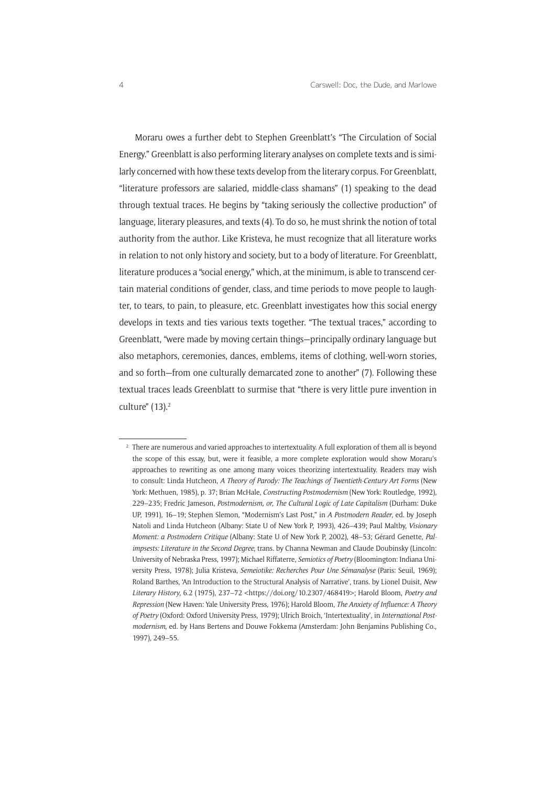Moraru owes a further debt to Stephen Greenblatt's "The Circulation of Social Energy." Greenblatt is also performing literary analyses on complete texts and is similarly concerned with how these texts develop from the literary corpus. For Greenblatt, "literature professors are salaried, middle-class shamans" (1) speaking to the dead through textual traces. He begins by "taking seriously the collective production" of language, literary pleasures, and texts (4). To do so, he must shrink the notion of total authority from the author. Like Kristeva, he must recognize that all literature works in relation to not only history and society, but to a body of literature. For Greenblatt, literature produces a "social energy," which, at the minimum, is able to transcend certain material conditions of gender, class, and time periods to move people to laughter, to tears, to pain, to pleasure, etc. Greenblatt investigates how this social energy develops in texts and ties various texts together. "The textual traces," according to Greenblatt, "were made by moving certain things—principally ordinary language but also metaphors, ceremonies, dances, emblems, items of clothing, well-worn stories, and so forth—from one culturally demarcated zone to another" (7). Following these textual traces leads Greenblatt to surmise that "there is very little pure invention in culture" (13).2

<sup>&</sup>lt;sup>2</sup> There are numerous and varied approaches to intertextuality. A full exploration of them all is beyond the scope of this essay, but, were it feasible, a more complete exploration would show Moraru's approaches to rewriting as one among many voices theorizing intertextuality. Readers may wish to consult: Linda Hutcheon, *A Theory of Parody: The Teachings of Twentieth-Century Art Forms* (New York: Methuen, 1985), p. 37; Brian McHale, *Constructing Postmodernism* (New York: Routledge, 1992), 229–235; Fredric Jameson, *Postmodernism, or, The Cultural Logic of Late Capitalism* (Durham: Duke UP, 1991), 16–19; Stephen Slemon, "Modernism's Last Post," in *A Postmodern Reader*, ed. by Joseph Natoli and Linda Hutcheon (Albany: State U of New York P, 1993), 426–439; Paul Maltby, *Visionary Moment: a Postmodern Critique* (Albany: State U of New York P, 2002), 48–53; Gérard Genette, *Palimpsests: Literature in the Second Degree*, trans. by Channa Newman and Claude Doubinsky (Lincoln: University of Nebraska Press, 1997); Michael Riffaterre, *Semiotics of Poetry* (Bloomington: Indiana University Press, 1978); Julia Kristeva, *Semeiotike: Recherches Pour Une Sémanalyse* (Paris: Seuil, 1969); Roland Barthes, 'An Introduction to the Structural Analysis of Narrative', trans. by Lionel Duisit, *New Literary History*, 6.2 (1975), 237–72 [<https://doi.org/10.2307/468419>](https://doi.org/10.2307/468419); Harold Bloom, *Poetry and Repression* (New Haven: Yale University Press, 1976); Harold Bloom, *The Anxiety of Influence: A Theory of Poetry* (Oxford: Oxford University Press, 1979); Ulrich Broich, 'Intertextuality', in *International Postmodernism*, ed. by Hans Bertens and Douwe Fokkema (Amsterdam: John Benjamins Publishing Co., 1997), 249–55.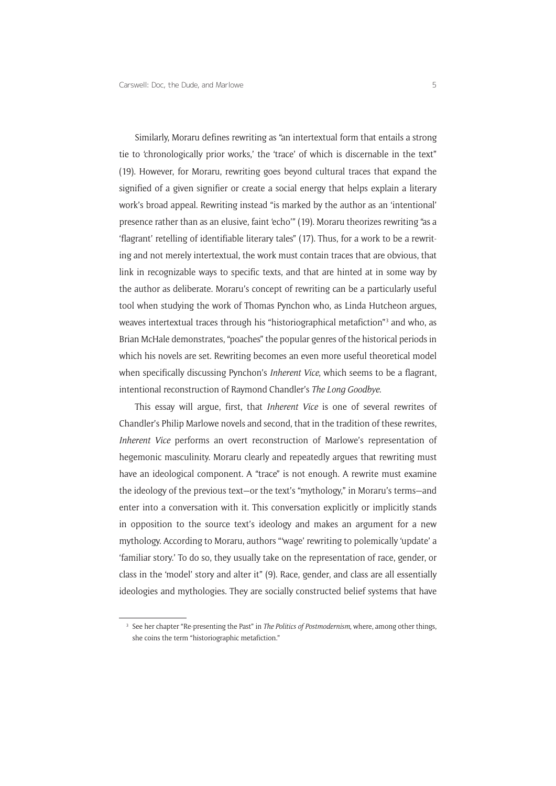Similarly, Moraru defines rewriting as "an intertextual form that entails a strong tie to 'chronologically prior works,' the 'trace' of which is discernable in the text" (19). However, for Moraru, rewriting goes beyond cultural traces that expand the signified of a given signifier or create a social energy that helps explain a literary work's broad appeal. Rewriting instead "is marked by the author as an 'intentional' presence rather than as an elusive, faint 'echo'" (19). Moraru theorizes rewriting "as a 'flagrant' retelling of identifiable literary tales" (17). Thus, for a work to be a rewriting and not merely intertextual, the work must contain traces that are obvious, that link in recognizable ways to specific texts, and that are hinted at in some way by the author as deliberate. Moraru's concept of rewriting can be a particularly useful tool when studying the work of Thomas Pynchon who, as Linda Hutcheon argues, weaves intertextual traces through his "historiographical metafiction"<sup>3</sup> and who, as Brian McHale demonstrates, "poaches" the popular genres of the historical periods in which his novels are set. Rewriting becomes an even more useful theoretical model when specifically discussing Pynchon's *Inherent Vice*, which seems to be a flagrant, intentional reconstruction of Raymond Chandler's *The Long Goodbye*.

This essay will argue, first, that *Inherent Vice* is one of several rewrites of Chandler's Philip Marlowe novels and second, that in the tradition of these rewrites, *Inherent Vice* performs an overt reconstruction of Marlowe's representation of hegemonic masculinity. Moraru clearly and repeatedly argues that rewriting must have an ideological component. A "trace" is not enough. A rewrite must examine the ideology of the previous text—or the text's "mythology," in Moraru's terms—and enter into a conversation with it. This conversation explicitly or implicitly stands in opposition to the source text's ideology and makes an argument for a new mythology. According to Moraru, authors "'wage' rewriting to polemically 'update' a 'familiar story.' To do so, they usually take on the representation of race, gender, or class in the 'model' story and alter it" (9). Race, gender, and class are all essentially ideologies and mythologies. They are socially constructed belief systems that have

<sup>3</sup> See her chapter "Re-presenting the Past" in *The Politics of Postmodernism*, where, among other things, she coins the term "historiographic metafiction."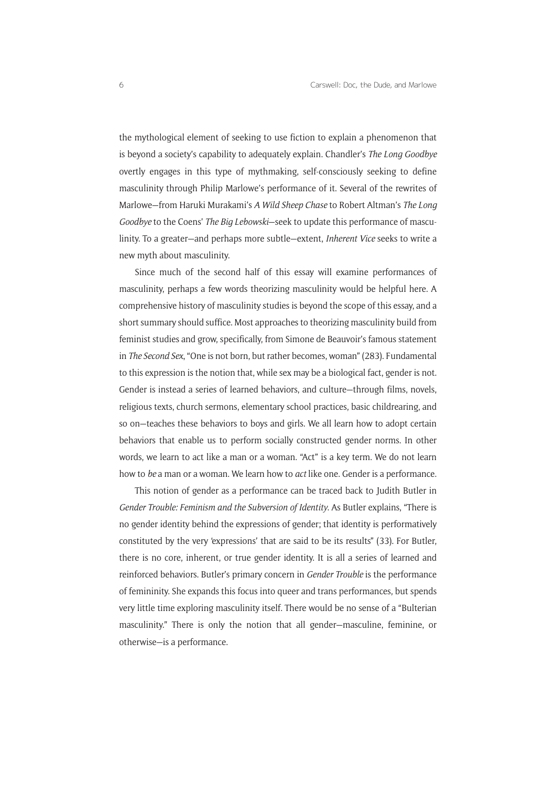the mythological element of seeking to use fiction to explain a phenomenon that is beyond a society's capability to adequately explain. Chandler's *The Long Goodbye* overtly engages in this type of mythmaking, self-consciously seeking to define masculinity through Philip Marlowe's performance of it. Several of the rewrites of Marlowe—from Haruki Murakami's *A Wild Sheep Chase* to Robert Altman's *The Long Goodbye* to the Coens' *The Big Lebowski*—seek to update this performance of masculinity. To a greater—and perhaps more subtle—extent, *Inherent Vice* seeks to write a new myth about masculinity.

Since much of the second half of this essay will examine performances of masculinity, perhaps a few words theorizing masculinity would be helpful here. A comprehensive history of masculinity studies is beyond the scope of this essay, and a short summary should suffice. Most approaches to theorizing masculinity build from feminist studies and grow, specifically, from Simone de Beauvoir's famous statement in *The Second Sex*, "One is not born, but rather becomes, woman" (283). Fundamental to this expression is the notion that, while sex may be a biological fact, gender is not. Gender is instead a series of learned behaviors, and culture—through films, novels, religious texts, church sermons, elementary school practices, basic childrearing, and so on—teaches these behaviors to boys and girls. We all learn how to adopt certain behaviors that enable us to perform socially constructed gender norms. In other words, we learn to act like a man or a woman. "Act" is a key term. We do not learn how to *be* a man or a woman. We learn how to *act* like one. Gender is a performance.

This notion of gender as a performance can be traced back to Judith Butler in *Gender Trouble: Feminism and the Subversion of Identity*. As Butler explains, "There is no gender identity behind the expressions of gender; that identity is performatively constituted by the very 'expressions' that are said to be its results" (33). For Butler, there is no core, inherent, or true gender identity. It is all a series of learned and reinforced behaviors. Butler's primary concern in *Gender Trouble* is the performance of femininity. She expands this focus into queer and trans performances, but spends very little time exploring masculinity itself. There would be no sense of a "Bulterian masculinity." There is only the notion that all gender—masculine, feminine, or otherwise—is a performance.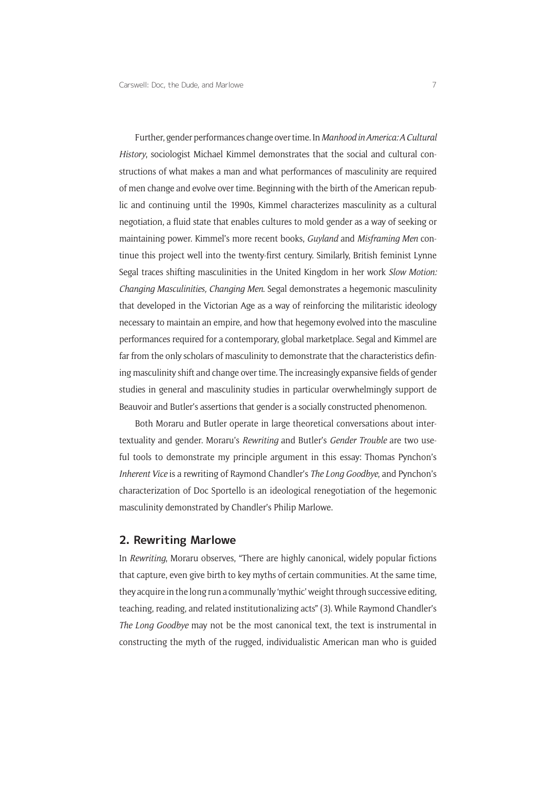Further, gender performances change over time. In *Manhood in America: A Cultural History*, sociologist Michael Kimmel demonstrates that the social and cultural constructions of what makes a man and what performances of masculinity are required of men change and evolve over time. Beginning with the birth of the American republic and continuing until the 1990s, Kimmel characterizes masculinity as a cultural negotiation, a fluid state that enables cultures to mold gender as a way of seeking or maintaining power. Kimmel's more recent books, *Guyland* and *Misframing Men* continue this project well into the twenty-first century. Similarly, British feminist Lynne Segal traces shifting masculinities in the United Kingdom in her work *Slow Motion: Changing Masculinities, Changing Men*. Segal demonstrates a hegemonic masculinity that developed in the Victorian Age as a way of reinforcing the militaristic ideology necessary to maintain an empire, and how that hegemony evolved into the masculine performances required for a contemporary, global marketplace. Segal and Kimmel are far from the only scholars of masculinity to demonstrate that the characteristics defining masculinity shift and change over time. The increasingly expansive fields of gender studies in general and masculinity studies in particular overwhelmingly support de Beauvoir and Butler's assertions that gender is a socially constructed phenomenon.

Both Moraru and Butler operate in large theoretical conversations about intertextuality and gender. Moraru's *Rewriting* and Butler's *Gender Trouble* are two useful tools to demonstrate my principle argument in this essay: Thomas Pynchon's *Inherent Vice* is a rewriting of Raymond Chandler's *The Long Goodbye*, and Pynchon's characterization of Doc Sportello is an ideological renegotiation of the hegemonic masculinity demonstrated by Chandler's Philip Marlowe.

### **2. Rewriting Marlowe**

In *Rewriting*, Moraru observes, "There are highly canonical, widely popular fictions that capture, even give birth to key myths of certain communities. At the same time, they acquire in the long run a communally 'mythic' weight through successive editing, teaching, reading, and related institutionalizing acts" (3). While Raymond Chandler's *The Long Goodbye* may not be the most canonical text, the text is instrumental in constructing the myth of the rugged, individualistic American man who is guided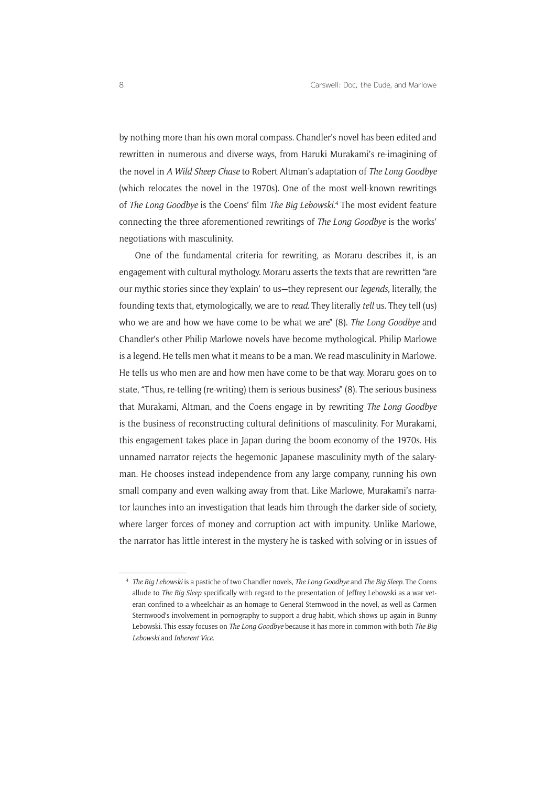by nothing more than his own moral compass. Chandler's novel has been edited and rewritten in numerous and diverse ways, from Haruki Murakami's re-imagining of the novel in *A Wild Sheep Chase* to Robert Altman's adaptation of *The Long Goodbye* (which relocates the novel in the 1970s). One of the most well-known rewritings of *The Long Goodbye* is the Coens' film *The Big Lebowski*. 4 The most evident feature connecting the three aforementioned rewritings of *The Long Goodbye* is the works' negotiations with masculinity.

One of the fundamental criteria for rewriting, as Moraru describes it, is an engagement with cultural mythology. Moraru asserts the texts that are rewritten "are our mythic stories since they 'explain' to us—they represent our *legends*, literally, the founding texts that, etymologically, we are to *read*. They literally *tell* us. They tell (us) who we are and how we have come to be what we are" (8). *The Long Goodbye* and Chandler's other Philip Marlowe novels have become mythological. Philip Marlowe is a legend. He tells men what it means to be a man. We read masculinity in Marlowe. He tells us who men are and how men have come to be that way. Moraru goes on to state, "Thus, re-telling (re-writing) them is serious business" (8). The serious business that Murakami, Altman, and the Coens engage in by rewriting *The Long Goodbye* is the business of reconstructing cultural definitions of masculinity. For Murakami, this engagement takes place in Japan during the boom economy of the 1970s. His unnamed narrator rejects the hegemonic Japanese masculinity myth of the salaryman. He chooses instead independence from any large company, running his own small company and even walking away from that. Like Marlowe, Murakami's narrator launches into an investigation that leads him through the darker side of society, where larger forces of money and corruption act with impunity. Unlike Marlowe, the narrator has little interest in the mystery he is tasked with solving or in issues of

<sup>4</sup> *The Big Lebowski* is a pastiche of two Chandler novels, *The Long Goodbye* and *The Big Sleep*. The Coens allude to *The Big Sleep* specifically with regard to the presentation of Jeffrey Lebowski as a war veteran confined to a wheelchair as an homage to General Sternwood in the novel, as well as Carmen Sternwood's involvement in pornography to support a drug habit, which shows up again in Bunny Lebowski. This essay focuses on *The Long Goodbye* because it has more in common with both *The Big Lebowski* and *Inherent Vice*.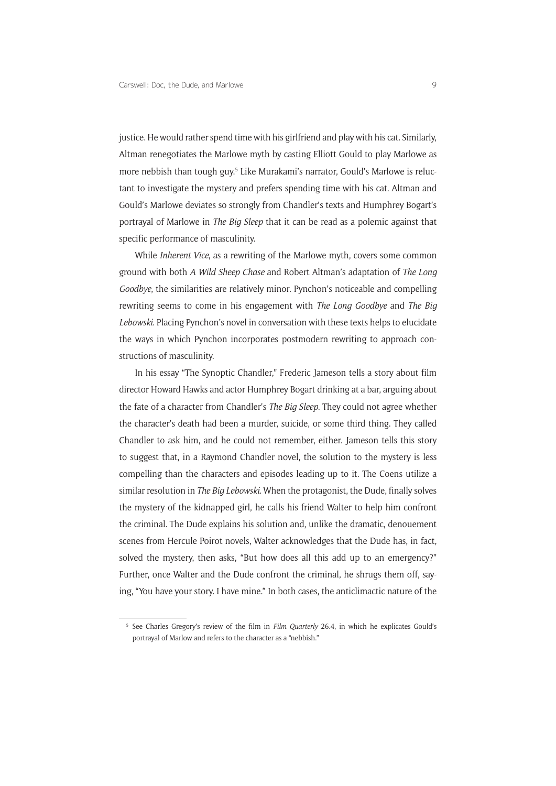justice. He would rather spend time with his girlfriend and play with his cat. Similarly, Altman renegotiates the Marlowe myth by casting Elliott Gould to play Marlowe as more nebbish than tough guy.<sup>5</sup> Like Murakami's narrator, Gould's Marlowe is reluctant to investigate the mystery and prefers spending time with his cat. Altman and Gould's Marlowe deviates so strongly from Chandler's texts and Humphrey Bogart's portrayal of Marlowe in *The Big Sleep* that it can be read as a polemic against that specific performance of masculinity.

While *Inherent Vice*, as a rewriting of the Marlowe myth, covers some common ground with both *A Wild Sheep Chase* and Robert Altman's adaptation of *The Long Goodbye*, the similarities are relatively minor. Pynchon's noticeable and compelling rewriting seems to come in his engagement with *The Long Goodbye* and *The Big Lebowski*. Placing Pynchon's novel in conversation with these texts helps to elucidate the ways in which Pynchon incorporates postmodern rewriting to approach constructions of masculinity.

In his essay "The Synoptic Chandler," Frederic Jameson tells a story about film director Howard Hawks and actor Humphrey Bogart drinking at a bar, arguing about the fate of a character from Chandler's *The Big Sleep*. They could not agree whether the character's death had been a murder, suicide, or some third thing. They called Chandler to ask him, and he could not remember, either. Jameson tells this story to suggest that, in a Raymond Chandler novel, the solution to the mystery is less compelling than the characters and episodes leading up to it. The Coens utilize a similar resolution in *The Big Lebowski*. When the protagonist, the Dude, finally solves the mystery of the kidnapped girl, he calls his friend Walter to help him confront the criminal. The Dude explains his solution and, unlike the dramatic, denouement scenes from Hercule Poirot novels, Walter acknowledges that the Dude has, in fact, solved the mystery, then asks, "But how does all this add up to an emergency?" Further, once Walter and the Dude confront the criminal, he shrugs them off, saying, "You have your story. I have mine." In both cases, the anticlimactic nature of the

<sup>5</sup> See Charles Gregory's review of the film in *Film Quarterly* 26.4, in which he explicates Gould's portrayal of Marlow and refers to the character as a "nebbish."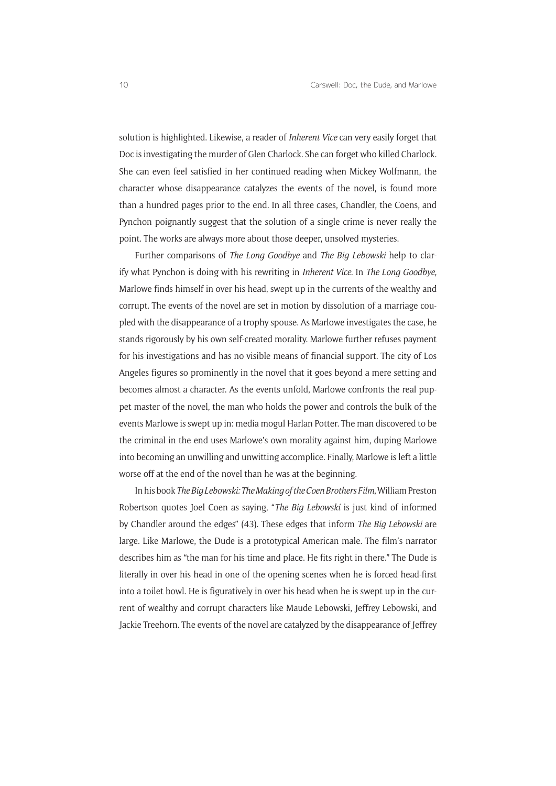solution is highlighted. Likewise, a reader of *Inherent Vice* can very easily forget that Doc is investigating the murder of Glen Charlock. She can forget who killed Charlock. She can even feel satisfied in her continued reading when Mickey Wolfmann, the character whose disappearance catalyzes the events of the novel, is found more than a hundred pages prior to the end. In all three cases, Chandler, the Coens, and Pynchon poignantly suggest that the solution of a single crime is never really the point. The works are always more about those deeper, unsolved mysteries.

Further comparisons of *The Long Goodbye* and *The Big Lebowski* help to clarify what Pynchon is doing with his rewriting in *Inherent Vice*. In *The Long Goodbye*, Marlowe finds himself in over his head, swept up in the currents of the wealthy and corrupt. The events of the novel are set in motion by dissolution of a marriage coupled with the disappearance of a trophy spouse. As Marlowe investigates the case, he stands rigorously by his own self-created morality. Marlowe further refuses payment for his investigations and has no visible means of financial support. The city of Los Angeles figures so prominently in the novel that it goes beyond a mere setting and becomes almost a character. As the events unfold, Marlowe confronts the real puppet master of the novel, the man who holds the power and controls the bulk of the events Marlowe is swept up in: media mogul Harlan Potter. The man discovered to be the criminal in the end uses Marlowe's own morality against him, duping Marlowe into becoming an unwilling and unwitting accomplice. Finally, Marlowe is left a little worse off at the end of the novel than he was at the beginning.

In his book *The Big Lebowski: The Making of the Coen Brothers Film*, William Preston Robertson quotes Joel Coen as saying, "*The Big Lebowski* is just kind of informed by Chandler around the edges" (43). These edges that inform *The Big Lebowski* are large. Like Marlowe, the Dude is a prototypical American male. The film's narrator describes him as "the man for his time and place. He fits right in there." The Dude is literally in over his head in one of the opening scenes when he is forced head-first into a toilet bowl. He is figuratively in over his head when he is swept up in the current of wealthy and corrupt characters like Maude Lebowski, Jeffrey Lebowski, and Jackie Treehorn. The events of the novel are catalyzed by the disappearance of Jeffrey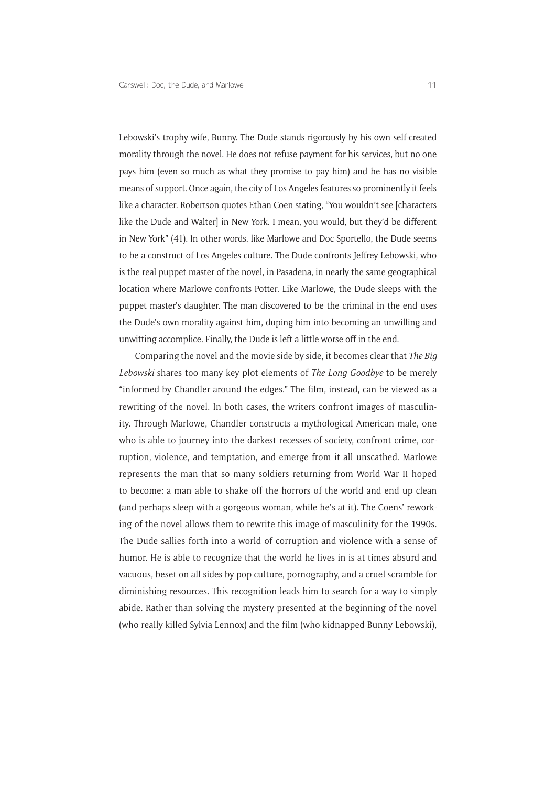Lebowski's trophy wife, Bunny. The Dude stands rigorously by his own self-created morality through the novel. He does not refuse payment for his services, but no one pays him (even so much as what they promise to pay him) and he has no visible means of support. Once again, the city of Los Angeles features so prominently it feels like a character. Robertson quotes Ethan Coen stating, "You wouldn't see [characters like the Dude and Walterl in New York. I mean, you would, but they'd be different in New York" (41). In other words, like Marlowe and Doc Sportello, the Dude seems to be a construct of Los Angeles culture. The Dude confronts Jeffrey Lebowski, who is the real puppet master of the novel, in Pasadena, in nearly the same geographical location where Marlowe confronts Potter. Like Marlowe, the Dude sleeps with the puppet master's daughter. The man discovered to be the criminal in the end uses the Dude's own morality against him, duping him into becoming an unwilling and unwitting accomplice. Finally, the Dude is left a little worse off in the end.

Comparing the novel and the movie side by side, it becomes clear that *The Big Lebowski* shares too many key plot elements of *The Long Goodbye* to be merely "informed by Chandler around the edges." The film, instead, can be viewed as a rewriting of the novel. In both cases, the writers confront images of masculinity. Through Marlowe, Chandler constructs a mythological American male, one who is able to journey into the darkest recesses of society, confront crime, corruption, violence, and temptation, and emerge from it all unscathed. Marlowe represents the man that so many soldiers returning from World War II hoped to become: a man able to shake off the horrors of the world and end up clean (and perhaps sleep with a gorgeous woman, while he's at it). The Coens' reworking of the novel allows them to rewrite this image of masculinity for the 1990s. The Dude sallies forth into a world of corruption and violence with a sense of humor. He is able to recognize that the world he lives in is at times absurd and vacuous, beset on all sides by pop culture, pornography, and a cruel scramble for diminishing resources. This recognition leads him to search for a way to simply abide. Rather than solving the mystery presented at the beginning of the novel (who really killed Sylvia Lennox) and the film (who kidnapped Bunny Lebowski),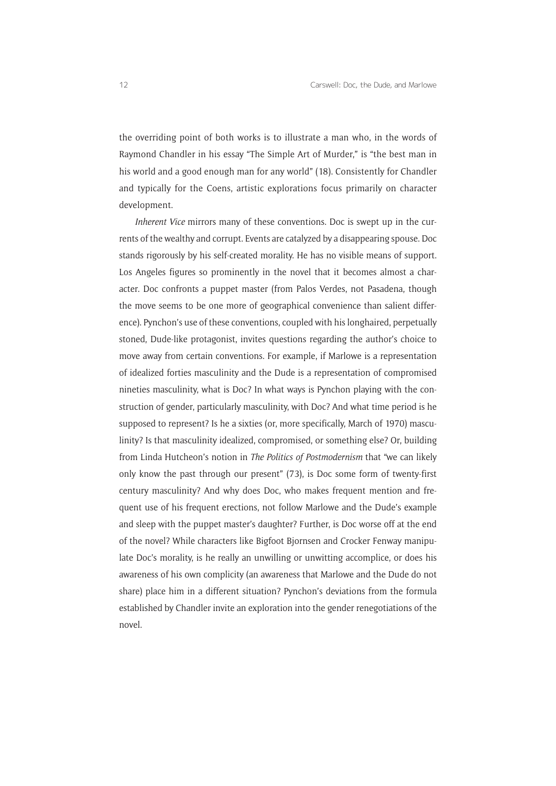the overriding point of both works is to illustrate a man who, in the words of Raymond Chandler in his essay "The Simple Art of Murder," is "the best man in his world and a good enough man for any world" (18). Consistently for Chandler and typically for the Coens, artistic explorations focus primarily on character development.

*Inherent Vice* mirrors many of these conventions. Doc is swept up in the currents of the wealthy and corrupt. Events are catalyzed by a disappearing spouse. Doc stands rigorously by his self-created morality. He has no visible means of support. Los Angeles figures so prominently in the novel that it becomes almost a character. Doc confronts a puppet master (from Palos Verdes, not Pasadena, though the move seems to be one more of geographical convenience than salient difference). Pynchon's use of these conventions, coupled with his longhaired, perpetually stoned, Dude-like protagonist, invites questions regarding the author's choice to move away from certain conventions. For example, if Marlowe is a representation of idealized forties masculinity and the Dude is a representation of compromised nineties masculinity, what is Doc? In what ways is Pynchon playing with the construction of gender, particularly masculinity, with Doc? And what time period is he supposed to represent? Is he a sixties (or, more specifically, March of 1970) masculinity? Is that masculinity idealized, compromised, or something else? Or, building from Linda Hutcheon's notion in *The Politics of Postmodernism* that "we can likely only know the past through our present" (73), is Doc some form of twenty-first century masculinity? And why does Doc, who makes frequent mention and frequent use of his frequent erections, not follow Marlowe and the Dude's example and sleep with the puppet master's daughter? Further, is Doc worse off at the end of the novel? While characters like Bigfoot Bjornsen and Crocker Fenway manipulate Doc's morality, is he really an unwilling or unwitting accomplice, or does his awareness of his own complicity (an awareness that Marlowe and the Dude do not share) place him in a different situation? Pynchon's deviations from the formula established by Chandler invite an exploration into the gender renegotiations of the novel.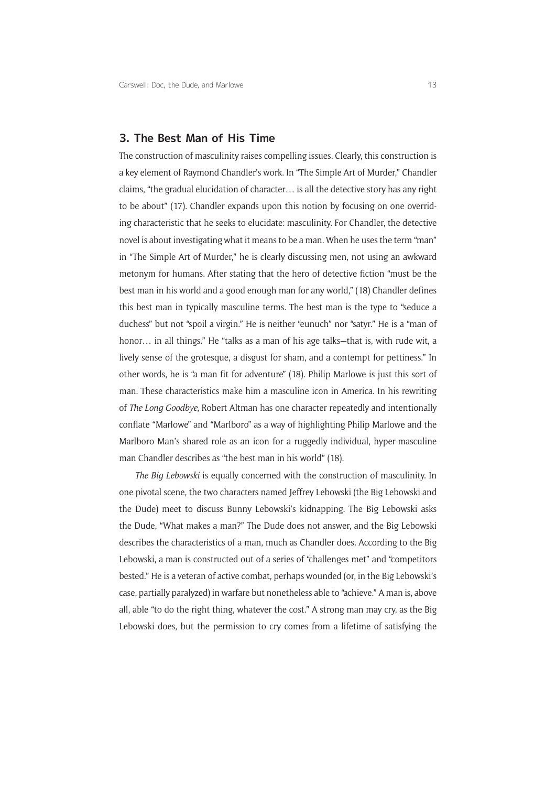### **3. The Best Man of His Time**

The construction of masculinity raises compelling issues. Clearly, this construction is a key element of Raymond Chandler's work. In "The Simple Art of Murder," Chandler claims, "the gradual elucidation of character… is all the detective story has any right to be about" (17). Chandler expands upon this notion by focusing on one overriding characteristic that he seeks to elucidate: masculinity. For Chandler, the detective novel is about investigating what it means to be a man. When he uses the term "man" in "The Simple Art of Murder," he is clearly discussing men, not using an awkward metonym for humans. After stating that the hero of detective fiction "must be the best man in his world and a good enough man for any world," (18) Chandler defines this best man in typically masculine terms. The best man is the type to "seduce a duchess" but not "spoil a virgin." He is neither "eunuch" nor "satyr." He is a "man of honor… in all things." He "talks as a man of his age talks—that is, with rude wit, a lively sense of the grotesque, a disgust for sham, and a contempt for pettiness." In other words, he is "a man fit for adventure" (18). Philip Marlowe is just this sort of man. These characteristics make him a masculine icon in America. In his rewriting of *The Long Goodbye*, Robert Altman has one character repeatedly and intentionally conflate "Marlowe" and "Marlboro" as a way of highlighting Philip Marlowe and the Marlboro Man's shared role as an icon for a ruggedly individual, hyper-masculine man Chandler describes as "the best man in his world" (18).

*The Big Lebowski* is equally concerned with the construction of masculinity. In one pivotal scene, the two characters named Jeffrey Lebowski (the Big Lebowski and the Dude) meet to discuss Bunny Lebowski's kidnapping. The Big Lebowski asks the Dude, "What makes a man?" The Dude does not answer, and the Big Lebowski describes the characteristics of a man, much as Chandler does. According to the Big Lebowski, a man is constructed out of a series of "challenges met" and "competitors bested." He is a veteran of active combat, perhaps wounded (or, in the Big Lebowski's case, partially paralyzed) in warfare but nonetheless able to "achieve." A man is, above all, able "to do the right thing, whatever the cost." A strong man may cry, as the Big Lebowski does, but the permission to cry comes from a lifetime of satisfying the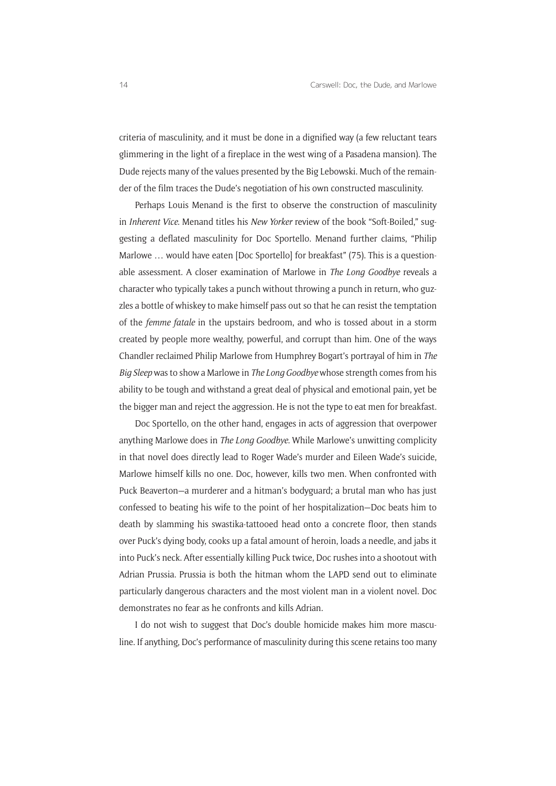criteria of masculinity, and it must be done in a dignified way (a few reluctant tears glimmering in the light of a fireplace in the west wing of a Pasadena mansion). The Dude rejects many of the values presented by the Big Lebowski. Much of the remainder of the film traces the Dude's negotiation of his own constructed masculinity.

Perhaps Louis Menand is the first to observe the construction of masculinity in *Inherent Vice*. Menand titles his *New Yorker* review of the book "Soft-Boiled," suggesting a deflated masculinity for Doc Sportello. Menand further claims, "Philip Marlowe ... would have eaten [Doc Sportello] for breakfast" (75). This is a questionable assessment. A closer examination of Marlowe in *The Long Goodbye* reveals a character who typically takes a punch without throwing a punch in return, who guzzles a bottle of whiskey to make himself pass out so that he can resist the temptation of the *femme fatale* in the upstairs bedroom, and who is tossed about in a storm created by people more wealthy, powerful, and corrupt than him. One of the ways Chandler reclaimed Philip Marlowe from Humphrey Bogart's portrayal of him in *The Big Sleep* was to show a Marlowe in *The Long Goodbye* whose strength comes from his ability to be tough and withstand a great deal of physical and emotional pain, yet be the bigger man and reject the aggression. He is not the type to eat men for breakfast.

Doc Sportello, on the other hand, engages in acts of aggression that overpower anything Marlowe does in *The Long Goodbye*. While Marlowe's unwitting complicity in that novel does directly lead to Roger Wade's murder and Eileen Wade's suicide, Marlowe himself kills no one. Doc, however, kills two men. When confronted with Puck Beaverton—a murderer and a hitman's bodyguard; a brutal man who has just confessed to beating his wife to the point of her hospitalization—Doc beats him to death by slamming his swastika-tattooed head onto a concrete floor, then stands over Puck's dying body, cooks up a fatal amount of heroin, loads a needle, and jabs it into Puck's neck. After essentially killing Puck twice, Doc rushes into a shootout with Adrian Prussia. Prussia is both the hitman whom the LAPD send out to eliminate particularly dangerous characters and the most violent man in a violent novel. Doc demonstrates no fear as he confronts and kills Adrian.

I do not wish to suggest that Doc's double homicide makes him more masculine. If anything, Doc's performance of masculinity during this scene retains too many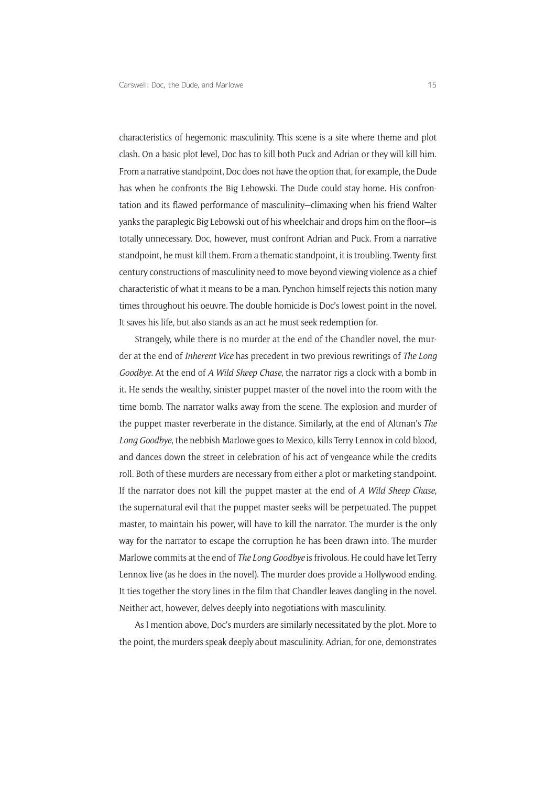characteristics of hegemonic masculinity. This scene is a site where theme and plot clash. On a basic plot level, Doc has to kill both Puck and Adrian or they will kill him. From a narrative standpoint, Doc does not have the option that, for example, the Dude has when he confronts the Big Lebowski. The Dude could stay home. His confrontation and its flawed performance of masculinity—climaxing when his friend Walter yanks the paraplegic Big Lebowski out of his wheelchair and drops him on the floor—is totally unnecessary. Doc, however, must confront Adrian and Puck. From a narrative standpoint, he must kill them. From a thematic standpoint, it is troubling. Twenty-first century constructions of masculinity need to move beyond viewing violence as a chief characteristic of what it means to be a man. Pynchon himself rejects this notion many times throughout his oeuvre. The double homicide is Doc's lowest point in the novel. It saves his life, but also stands as an act he must seek redemption for.

Strangely, while there is no murder at the end of the Chandler novel, the murder at the end of *Inherent Vice* has precedent in two previous rewritings of *The Long Goodbye*. At the end of *A Wild Sheep Chase*, the narrator rigs a clock with a bomb in it. He sends the wealthy, sinister puppet master of the novel into the room with the time bomb. The narrator walks away from the scene. The explosion and murder of the puppet master reverberate in the distance. Similarly, at the end of Altman's *The Long Goodbye*, the nebbish Marlowe goes to Mexico, kills Terry Lennox in cold blood, and dances down the street in celebration of his act of vengeance while the credits roll. Both of these murders are necessary from either a plot or marketing standpoint. If the narrator does not kill the puppet master at the end of *A Wild Sheep Chase*, the supernatural evil that the puppet master seeks will be perpetuated. The puppet master, to maintain his power, will have to kill the narrator. The murder is the only way for the narrator to escape the corruption he has been drawn into. The murder Marlowe commits at the end of *The Long Goodbye* is frivolous. He could have let Terry Lennox live (as he does in the novel). The murder does provide a Hollywood ending. It ties together the story lines in the film that Chandler leaves dangling in the novel. Neither act, however, delves deeply into negotiations with masculinity.

As I mention above, Doc's murders are similarly necessitated by the plot. More to the point, the murders speak deeply about masculinity. Adrian, for one, demonstrates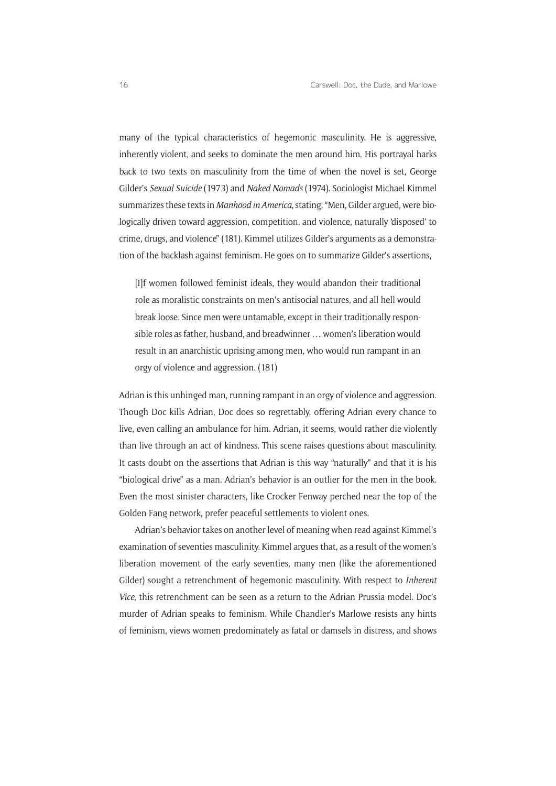many of the typical characteristics of hegemonic masculinity. He is aggressive, inherently violent, and seeks to dominate the men around him. His portrayal harks back to two texts on masculinity from the time of when the novel is set, George Gilder's *Sexual Suicide* (1973) and *Naked Nomads* (1974). Sociologist Michael Kimmel summarizes these texts in *Manhood in America*, stating, "Men, Gilder argued, were biologically driven toward aggression, competition, and violence, naturally 'disposed' to crime, drugs, and violence" (181). Kimmel utilizes Gilder's arguments as a demonstration of the backlash against feminism. He goes on to summarize Gilder's assertions,

[I]f women followed feminist ideals, they would abandon their traditional role as moralistic constraints on men's antisocial natures, and all hell would break loose. Since men were untamable, except in their traditionally responsible roles as father, husband, and breadwinner … women's liberation would result in an anarchistic uprising among men, who would run rampant in an orgy of violence and aggression. (181)

Adrian is this unhinged man, running rampant in an orgy of violence and aggression. Though Doc kills Adrian, Doc does so regrettably, offering Adrian every chance to live, even calling an ambulance for him. Adrian, it seems, would rather die violently than live through an act of kindness. This scene raises questions about masculinity. It casts doubt on the assertions that Adrian is this way "naturally" and that it is his "biological drive" as a man. Adrian's behavior is an outlier for the men in the book. Even the most sinister characters, like Crocker Fenway perched near the top of the Golden Fang network, prefer peaceful settlements to violent ones.

Adrian's behavior takes on another level of meaning when read against Kimmel's examination of seventies masculinity. Kimmel argues that, as a result of the women's liberation movement of the early seventies, many men (like the aforementioned Gilder) sought a retrenchment of hegemonic masculinity. With respect to *Inherent Vice*, this retrenchment can be seen as a return to the Adrian Prussia model. Doc's murder of Adrian speaks to feminism. While Chandler's Marlowe resists any hints of feminism, views women predominately as fatal or damsels in distress, and shows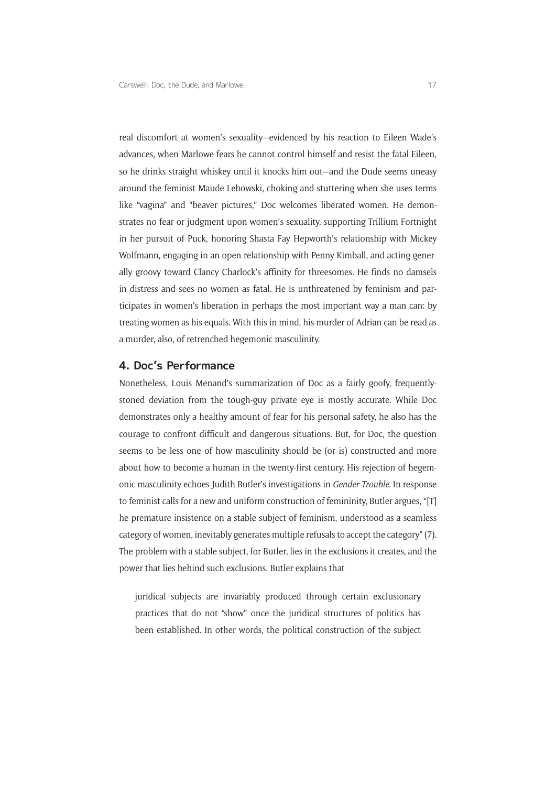real discomfort at women's sexuality—evidenced by his reaction to Eileen Wade's advances, when Marlowe fears he cannot control himself and resist the fatal Eileen, so he drinks straight whiskey until it knocks him out—and the Dude seems uneasy around the feminist Maude Lebowski, choking and stuttering when she uses terms like "vagina" and "beaver pictures," Doc welcomes liberated women. He demonstrates no fear or judgment upon women's sexuality, supporting Trillium Fortnight in her pursuit of Puck, honoring Shasta Fay Hepworth's relationship with Mickey Wolfmann, engaging in an open relationship with Penny Kimball, and acting generally groovy toward Clancy Charlock's affinity for threesomes. He finds no damsels in distress and sees no women as fatal. He is unthreatened by feminism and participates in women's liberation in perhaps the most important way a man can: by treating women as his equals. With this in mind, his murder of Adrian can be read as a murder, also, of retrenched hegemonic masculinity.

### **4. Doc's Performance**

Nonetheless, Louis Menand's summarization of Doc as a fairly goofy, frequentlystoned deviation from the tough-guy private eye is mostly accurate. While Doc demonstrates only a healthy amount of fear for his personal safety, he also has the courage to confront difficult and dangerous situations. But, for Doc, the question seems to be less one of how masculinity should be (or is) constructed and more about how to become a human in the twenty-first century. His rejection of hegemonic masculinity echoes Judith Butler's investigations in *Gender Trouble*. In response to feminist calls for a new and uniform construction of femininity, Butler argues, "[T] he premature insistence on a stable subject of feminism, understood as a seamless category of women, inevitably generates multiple refusals to accept the category" (7). The problem with a stable subject, for Butler, lies in the exclusions it creates, and the power that lies behind such exclusions. Butler explains that

juridical subjects are invariably produced through certain exclusionary practices that do not "show" once the juridical structures of politics has been established. In other words, the political construction of the subject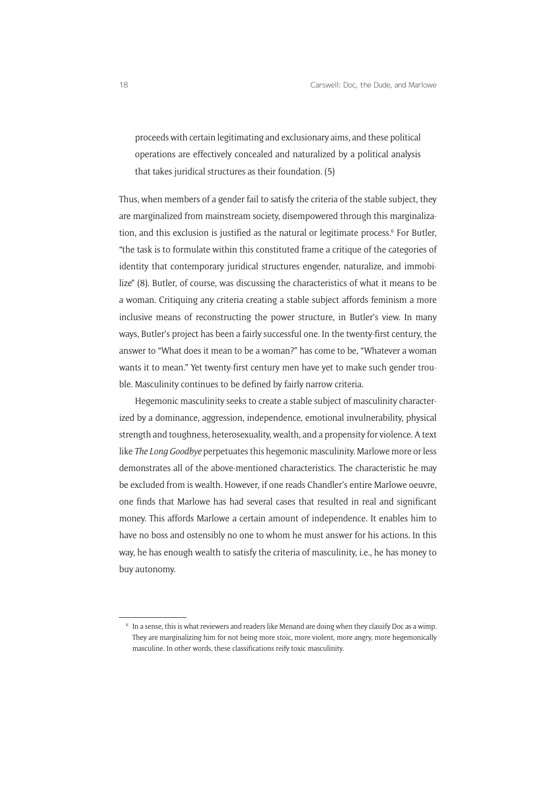proceeds with certain legitimating and exclusionary aims, and these political operations are effectively concealed and naturalized by a political analysis that takes juridical structures as their foundation. (5)

Thus, when members of a gender fail to satisfy the criteria of the stable subject, they are marginalized from mainstream society, disempowered through this marginalization, and this exclusion is justified as the natural or legitimate process.<sup>6</sup> For Butler, "the task is to formulate within this constituted frame a critique of the categories of identity that contemporary juridical structures engender, naturalize, and immobilize" (8). Butler, of course, was discussing the characteristics of what it means to be a woman. Critiquing any criteria creating a stable subject affords feminism a more inclusive means of reconstructing the power structure, in Butler's view. In many ways, Butler's project has been a fairly successful one. In the twenty-first century, the answer to "What does it mean to be a woman?" has come to be, "Whatever a woman wants it to mean." Yet twenty-first century men have yet to make such gender trouble. Masculinity continues to be defined by fairly narrow criteria.

Hegemonic masculinity seeks to create a stable subject of masculinity characterized by a dominance, aggression, independence, emotional invulnerability, physical strength and toughness, heterosexuality, wealth, and a propensity for violence. A text like *The Long Goodbye* perpetuates this hegemonic masculinity. Marlowe more or less demonstrates all of the above-mentioned characteristics. The characteristic he may be excluded from is wealth. However, if one reads Chandler's entire Marlowe oeuvre, one finds that Marlowe has had several cases that resulted in real and significant money. This affords Marlowe a certain amount of independence. It enables him to have no boss and ostensibly no one to whom he must answer for his actions. In this way, he has enough wealth to satisfy the criteria of masculinity, i.e., he has money to buy autonomy.

<sup>6</sup> In a sense, this is what reviewers and readers like Menand are doing when they classify Doc as a wimp. They are marginalizing him for not being more stoic, more violent, more angry, more hegemonically masculine. In other words, these classifications reify toxic masculinity.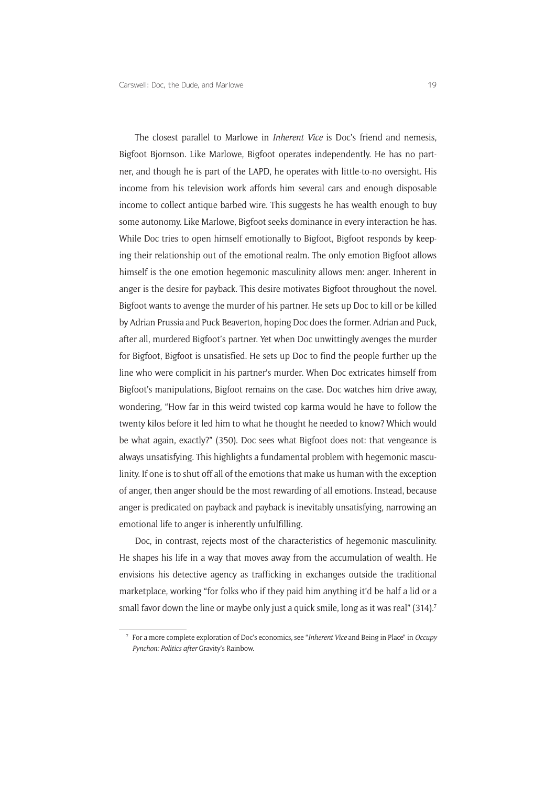The closest parallel to Marlowe in *Inherent Vice* is Doc's friend and nemesis, Bigfoot Bjornson. Like Marlowe, Bigfoot operates independently. He has no partner, and though he is part of the LAPD, he operates with little-to-no oversight. His income from his television work affords him several cars and enough disposable income to collect antique barbed wire. This suggests he has wealth enough to buy some autonomy. Like Marlowe, Bigfoot seeks dominance in every interaction he has. While Doc tries to open himself emotionally to Bigfoot, Bigfoot responds by keeping their relationship out of the emotional realm. The only emotion Bigfoot allows himself is the one emotion hegemonic masculinity allows men: anger. Inherent in anger is the desire for payback. This desire motivates Bigfoot throughout the novel. Bigfoot wants to avenge the murder of his partner. He sets up Doc to kill or be killed by Adrian Prussia and Puck Beaverton, hoping Doc does the former. Adrian and Puck, after all, murdered Bigfoot's partner. Yet when Doc unwittingly avenges the murder for Bigfoot, Bigfoot is unsatisfied. He sets up Doc to find the people further up the line who were complicit in his partner's murder. When Doc extricates himself from Bigfoot's manipulations, Bigfoot remains on the case. Doc watches him drive away, wondering, "How far in this weird twisted cop karma would he have to follow the twenty kilos before it led him to what he thought he needed to know? Which would be what again, exactly?" (350). Doc sees what Bigfoot does not: that vengeance is always unsatisfying. This highlights a fundamental problem with hegemonic masculinity. If one is to shut off all of the emotions that make us human with the exception of anger, then anger should be the most rewarding of all emotions. Instead, because anger is predicated on payback and payback is inevitably unsatisfying, narrowing an emotional life to anger is inherently unfulfilling.

Doc, in contrast, rejects most of the characteristics of hegemonic masculinity. He shapes his life in a way that moves away from the accumulation of wealth. He envisions his detective agency as trafficking in exchanges outside the traditional marketplace, working "for folks who if they paid him anything it'd be half a lid or a small favor down the line or maybe only just a quick smile, long as it was real" (314).<sup>7</sup>

<sup>7</sup> For a more complete exploration of Doc's economics, see "*Inherent Vice* and Being in Place" in *Occupy Pynchon: Politics after* Gravity's Rainbow.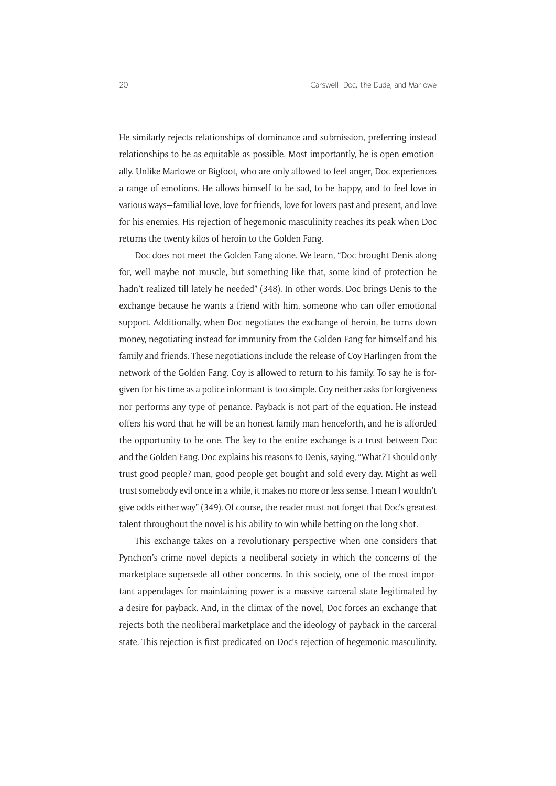He similarly rejects relationships of dominance and submission, preferring instead relationships to be as equitable as possible. Most importantly, he is open emotionally. Unlike Marlowe or Bigfoot, who are only allowed to feel anger, Doc experiences a range of emotions. He allows himself to be sad, to be happy, and to feel love in various ways—familial love, love for friends, love for lovers past and present, and love for his enemies. His rejection of hegemonic masculinity reaches its peak when Doc returns the twenty kilos of heroin to the Golden Fang.

Doc does not meet the Golden Fang alone. We learn, "Doc brought Denis along for, well maybe not muscle, but something like that, some kind of protection he hadn't realized till lately he needed" (348). In other words, Doc brings Denis to the exchange because he wants a friend with him, someone who can offer emotional support. Additionally, when Doc negotiates the exchange of heroin, he turns down money, negotiating instead for immunity from the Golden Fang for himself and his family and friends. These negotiations include the release of Coy Harlingen from the network of the Golden Fang. Coy is allowed to return to his family. To say he is forgiven for his time as a police informant is too simple. Coy neither asks for forgiveness nor performs any type of penance. Payback is not part of the equation. He instead offers his word that he will be an honest family man henceforth, and he is afforded the opportunity to be one. The key to the entire exchange is a trust between Doc and the Golden Fang. Doc explains his reasons to Denis, saying, "What? I should only trust good people? man, good people get bought and sold every day. Might as well trust somebody evil once in a while, it makes no more or less sense. I mean I wouldn't give odds either way" (349). Of course, the reader must not forget that Doc's greatest talent throughout the novel is his ability to win while betting on the long shot.

This exchange takes on a revolutionary perspective when one considers that Pynchon's crime novel depicts a neoliberal society in which the concerns of the marketplace supersede all other concerns. In this society, one of the most important appendages for maintaining power is a massive carceral state legitimated by a desire for payback. And, in the climax of the novel, Doc forces an exchange that rejects both the neoliberal marketplace and the ideology of payback in the carceral state. This rejection is first predicated on Doc's rejection of hegemonic masculinity.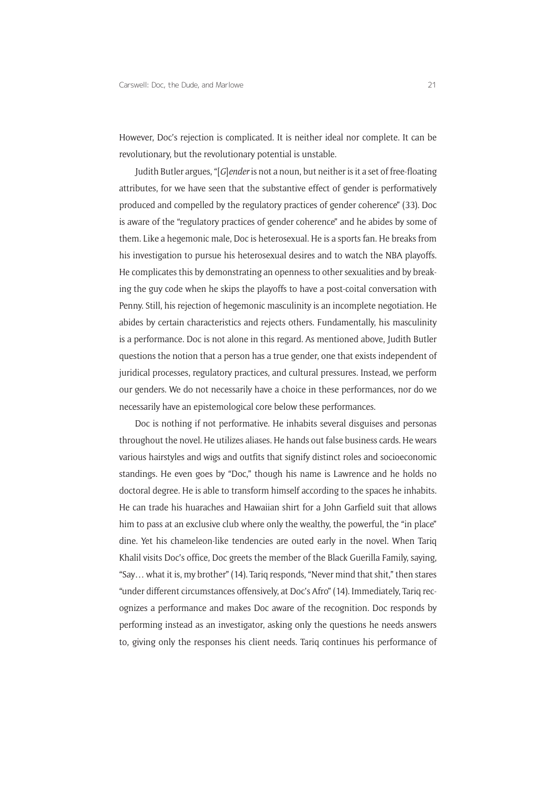However, Doc's rejection is complicated. It is neither ideal nor complete. It can be revolutionary, but the revolutionary potential is unstable.

Judith Butler argues, "[*G*]*ender* is not a noun, but neither is it a set of free-floating attributes, for we have seen that the substantive effect of gender is performatively produced and compelled by the regulatory practices of gender coherence" (33). Doc is aware of the "regulatory practices of gender coherence" and he abides by some of them. Like a hegemonic male, Doc is heterosexual. He is a sports fan. He breaks from his investigation to pursue his heterosexual desires and to watch the NBA playoffs. He complicates this by demonstrating an openness to other sexualities and by breaking the guy code when he skips the playoffs to have a post-coital conversation with Penny. Still, his rejection of hegemonic masculinity is an incomplete negotiation. He abides by certain characteristics and rejects others. Fundamentally, his masculinity is a performance. Doc is not alone in this regard. As mentioned above, Judith Butler questions the notion that a person has a true gender, one that exists independent of juridical processes, regulatory practices, and cultural pressures. Instead, we perform our genders. We do not necessarily have a choice in these performances, nor do we necessarily have an epistemological core below these performances.

Doc is nothing if not performative. He inhabits several disguises and personas throughout the novel. He utilizes aliases. He hands out false business cards. He wears various hairstyles and wigs and outfits that signify distinct roles and socioeconomic standings. He even goes by "Doc," though his name is Lawrence and he holds no doctoral degree. He is able to transform himself according to the spaces he inhabits. He can trade his huaraches and Hawaiian shirt for a John Garfield suit that allows him to pass at an exclusive club where only the wealthy, the powerful, the "in place" dine. Yet his chameleon-like tendencies are outed early in the novel. When Tariq Khalil visits Doc's office, Doc greets the member of the Black Guerilla Family, saying, "Say… what it is, my brother" (14). Tariq responds, "Never mind that shit," then stares "under different circumstances offensively, at Doc's Afro" (14). Immediately, Tariq recognizes a performance and makes Doc aware of the recognition. Doc responds by performing instead as an investigator, asking only the questions he needs answers to, giving only the responses his client needs. Tariq continues his performance of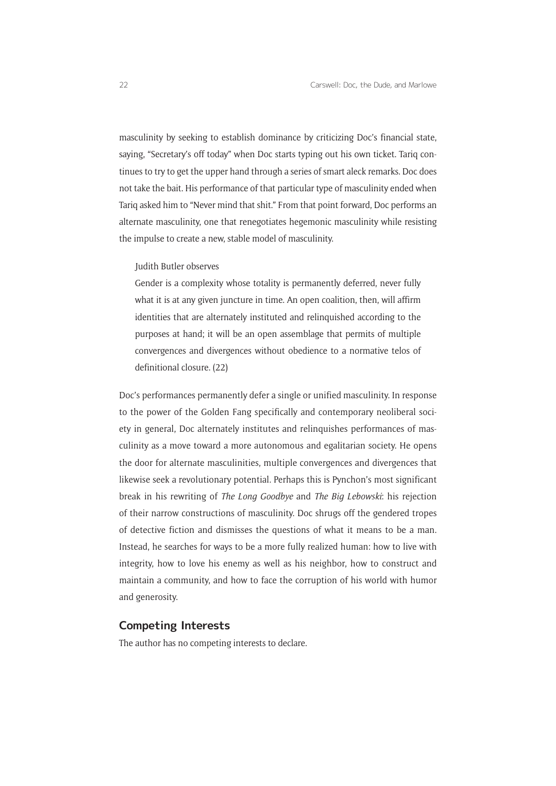masculinity by seeking to establish dominance by criticizing Doc's financial state, saying, "Secretary's off today" when Doc starts typing out his own ticket. Tariq continues to try to get the upper hand through a series of smart aleck remarks. Doc does not take the bait. His performance of that particular type of masculinity ended when Tariq asked him to "Never mind that shit." From that point forward, Doc performs an alternate masculinity, one that renegotiates hegemonic masculinity while resisting the impulse to create a new, stable model of masculinity.

#### Judith Butler observes

Gender is a complexity whose totality is permanently deferred, never fully what it is at any given juncture in time. An open coalition, then, will affirm identities that are alternately instituted and relinquished according to the purposes at hand; it will be an open assemblage that permits of multiple convergences and divergences without obedience to a normative telos of definitional closure. (22)

Doc's performances permanently defer a single or unified masculinity. In response to the power of the Golden Fang specifically and contemporary neoliberal society in general, Doc alternately institutes and relinquishes performances of masculinity as a move toward a more autonomous and egalitarian society. He opens the door for alternate masculinities, multiple convergences and divergences that likewise seek a revolutionary potential. Perhaps this is Pynchon's most significant break in his rewriting of *The Long Goodbye* and *The Big Lebowski*: his rejection of their narrow constructions of masculinity. Doc shrugs off the gendered tropes of detective fiction and dismisses the questions of what it means to be a man. Instead, he searches for ways to be a more fully realized human: how to live with integrity, how to love his enemy as well as his neighbor, how to construct and maintain a community, and how to face the corruption of his world with humor and generosity.

### **Competing Interests**

The author has no competing interests to declare.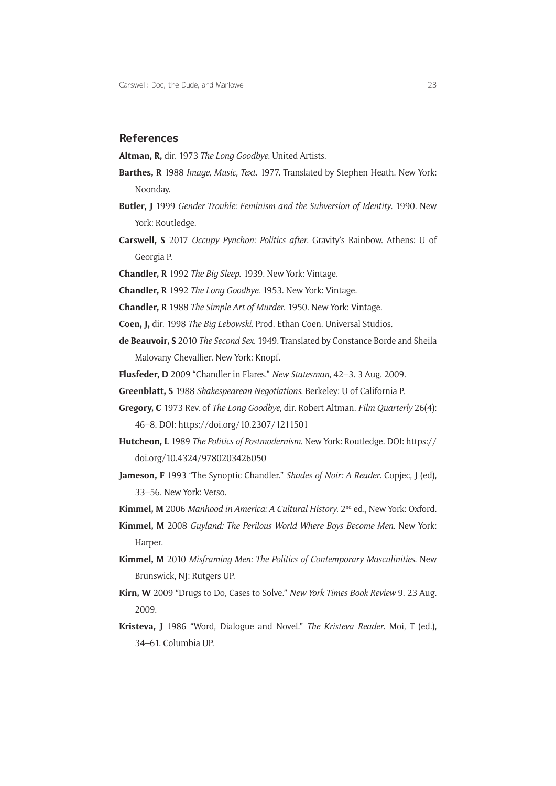### **References**

**Altman, R,** dir. 1973 *The Long Goodbye*. United Artists.

- **Barthes, R** 1988 *Image, Music, Text*. 1977. Translated by Stephen Heath. New York: Noonday.
- **Butler, J** 1999 *Gender Trouble: Feminism and the Subversion of Identity*. 1990. New York: Routledge.
- **Carswell, S** 2017 *Occupy Pynchon: Politics after*. Gravity's Rainbow. Athens: U of Georgia P.
- **Chandler, R** 1992 *The Big Sleep*. 1939. New York: Vintage.
- **Chandler, R** 1992 *The Long Goodbye*. 1953. New York: Vintage.
- **Chandler, R** 1988 *The Simple Art of Murder*. 1950. New York: Vintage.
- **Coen, J,** dir. 1998 *The Big Lebowski*. Prod. Ethan Coen. Universal Studios.
- **de Beauvoir, S** 2010 *The Second Sex*. 1949. Translated by Constance Borde and Sheila Malovany-Chevallier. New York: Knopf.
- **Flusfeder, D** 2009 "Chandler in Flares." *New Statesman*, 42–3. 3 Aug. 2009.
- **Greenblatt, S** 1988 *Shakespearean Negotiations*. Berkeley: U of California P.
- **Gregory, C** 1973 Rev. of *The Long Goodbye*, dir. Robert Altman. *Film Quarterly* 26(4): 46–8. DOI: <https://doi.org/10.2307/1211501>
- **Hutcheon, L** 1989 *The Politics of Postmodernism*. New York: Routledge. DOI: [https://](https://doi.org/10.4324/9780203426050) [doi.org/10.4324/9780203426050](https://doi.org/10.4324/9780203426050)
- **Jameson, F** 1993 "The Synoptic Chandler." *Shades of Noir: A Reader*. Copjec, J (ed), 33–56. New York: Verso.
- **Kimmel, M** 2006 *Manhood in America: A Cultural History*. 2nd ed., New York: Oxford.
- **Kimmel, M** 2008 *Guyland: The Perilous World Where Boys Become Men*. New York: Harper.
- **Kimmel, M** 2010 *Misframing Men: The Politics of Contemporary Masculinities*. New Brunswick, NJ: Rutgers UP.
- **Kirn, W** 2009 "Drugs to Do, Cases to Solve." *New York Times Book Review* 9. 23 Aug. 2009.
- **Kristeva, J** 1986 "Word, Dialogue and Novel." *The Kristeva Reader*. Moi, T (ed.), 34–61. Columbia UP.